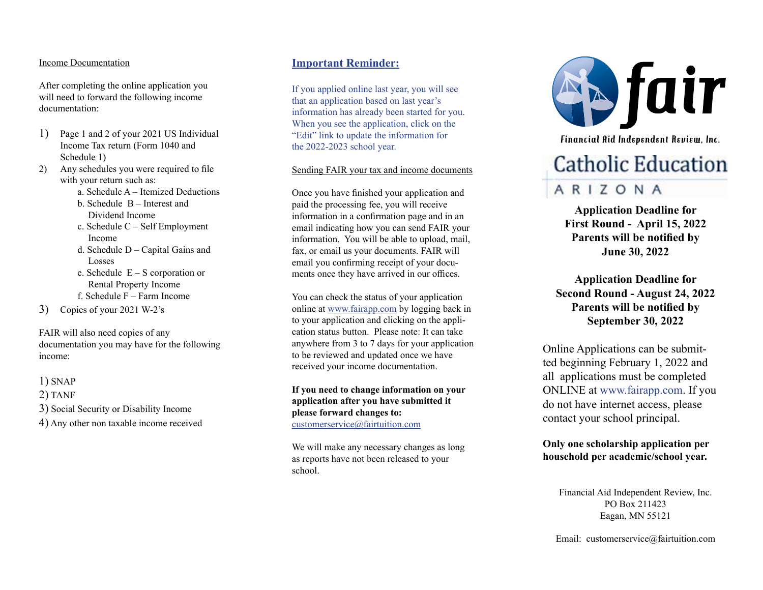#### Income Documentation

After completing the online application you will need to forward the following income documentation:

- 1) Page 1 and 2 of your 2021 US Individual Income Tax return (Form 1040 and Schedule 1)
- 2) Any schedules you were required to file with your return such as:
	- a. Schedule A Itemized Deductions
	- b. Schedule B Interest and Dividend Income
	- c. Schedule C Self Employment Income
	- d. Schedule D Capital Gains and Losses
	- e. Schedule E S corporation or Rental Property Income
	- f. Schedule F Farm Income
- 3) Copies of your 2021 W-2's

FAIR will also need copies of any documentation you may have for the following income:

#### 1) SNAP

- 2) TANF
- 3) Social Security or Disability Income
- 4) Any other non taxable income received

## **Important Reminder:**

If you applied online last year, you will see that an application based on last year's information has already been started for you. When you see the application, click on the "Edit" link to update the information for the 2022-2023 school year.

#### Sending FAIR your tax and income documents

Once you have finished your application and paid the processing fee, you will receive information in a confirmation page and in an email indicating how you can send FAIR your information. You will be able to upload, mail, fax, or email us your documents. FAIR will email you confirming receipt of your docu ments once they have arrived in our offices.

You can check the status of your application online at www.fairapp.com by logging back in to your application and clicking on the appli cation status button. Please note: It can take anywhere from 3 to 7 days for your application to be reviewed and updated once we have received your income documentation.

**If you need to change information on your application after you have submitted it please forward changes to:**  customerservice@fairtuition.com

We will make any necessary changes as long as reports have not been released to your school.



Financial Aid Independent Review, Inc.

# **Catholic Education**

# ARIZONA

**Application Deadline for First Round - April 15, 2022 Parents will be notified by June 30, 2022**

**Application Deadline for Second Round - August 24, 2022 Parents will be notified by September 30, 2022**

Online Applications can be submit ted beginning February 1, 2022 and all applications must be completed ONLINE at www.fairapp.com. If you do not have internet access, please contact your school principal.

### **Only one scholarship application per household per academic/school year.**

Financial Aid Independent Review, Inc. PO Box 211423 Eagan, MN 55121

Email: customerservice@fairtuition.com